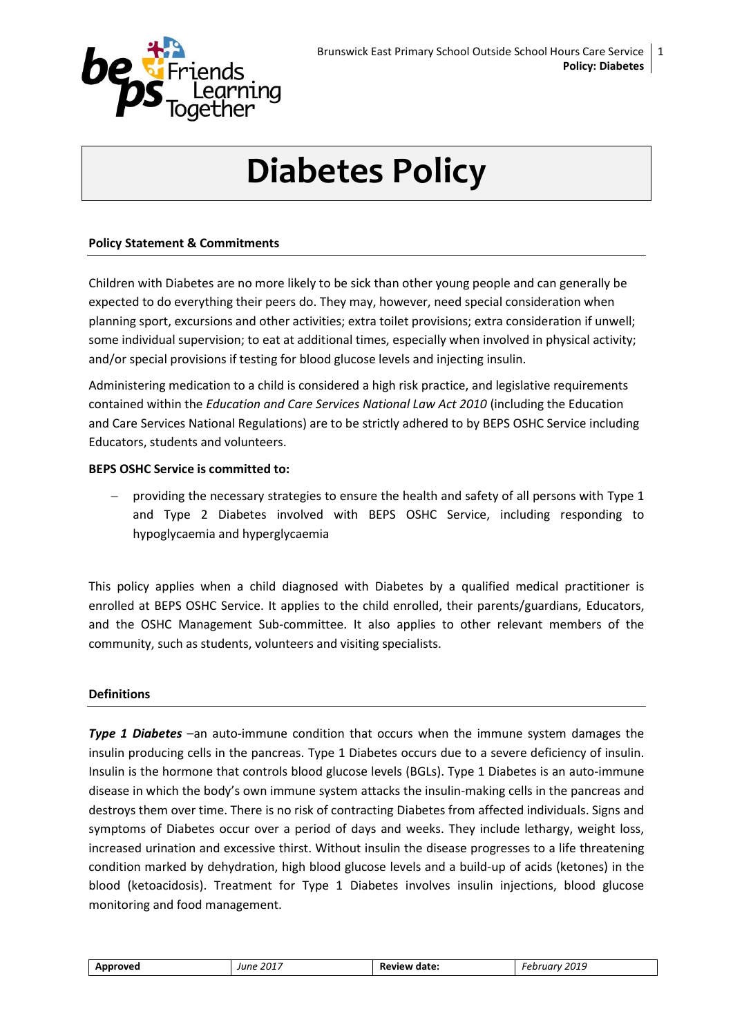

# **Diabetes Policy**

#### **Policy Statement & Commitments**

Children with Diabetes are no more likely to be sick than other young people and can generally be expected to do everything their peers do. They may, however, need special consideration when planning sport, excursions and other activities; extra toilet provisions; extra consideration if unwell; some individual supervision; to eat at additional times, especially when involved in physical activity; and/or special provisions if testing for blood glucose levels and injecting insulin.

Administering medication to a child is considered a high risk practice, and legislative requirements contained within the *Education and Care Services National Law Act 2010* (including the Education and Care Services National Regulations) are to be strictly adhered to by BEPS OSHC Service including Educators, students and volunteers.

#### **BEPS OSHC Service is committed to:**

 providing the necessary strategies to ensure the health and safety of all persons with Type 1 and Type 2 Diabetes involved with BEPS OSHC Service, including responding to hypoglycaemia and hyperglycaemia

This policy applies when a child diagnosed with Diabetes by a qualified medical practitioner is enrolled at BEPS OSHC Service. It applies to the child enrolled, their parents/guardians, Educators, and the OSHC Management Sub-committee. It also applies to other relevant members of the community, such as students, volunteers and visiting specialists.

#### **Definitions**

**Type 1 Diabetes** –an auto-immune condition that occurs when the immune system damages the insulin producing cells in the pancreas. Type 1 Diabetes occurs due to a severe deficiency of insulin. Insulin is the hormone that controls blood glucose levels (BGLs). Type 1 Diabetes is an auto-immune disease in which the body's own immune system attacks the insulin-making cells in the pancreas and destroys them over time. There is no risk of contracting Diabetes from affected individuals. Signs and symptoms of Diabetes occur over a period of days and weeks. They include lethargy, weight loss, increased urination and excessive thirst. Without insulin the disease progresses to a life threatening condition marked by dehydration, high blood glucose levels and a build-up of acids (ketones) in the blood (ketoacidosis). Treatment for Type 1 Diabetes involves insulin injections, blood glucose monitoring and food management.

| Approved | June 2017 | Review date: | 2019<br>Februarv. |
|----------|-----------|--------------|-------------------|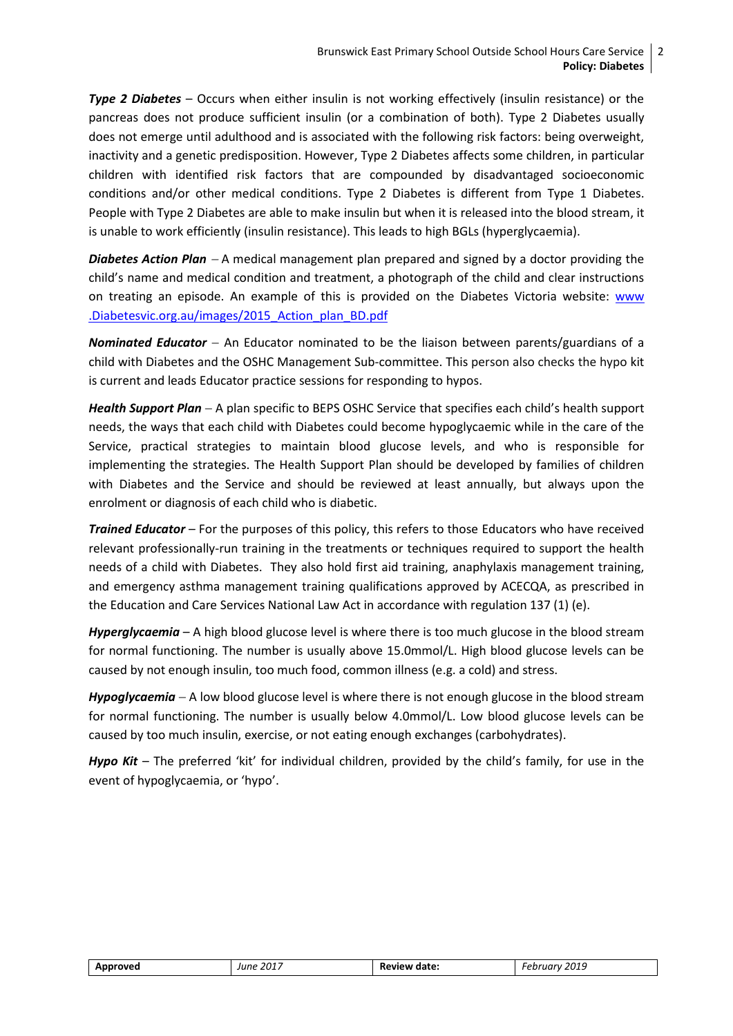*Type 2 Diabetes* – Occurs when either insulin is not working effectively (insulin resistance) or the pancreas does not produce sufficient insulin (or a combination of both). Type 2 Diabetes usually does not emerge until adulthood and is associated with the following risk factors: being overweight, inactivity and a genetic predisposition. However, Type 2 Diabetes affects some children, in particular children with identified risk factors that are compounded by disadvantaged socioeconomic conditions and/or other medical conditions. Type 2 Diabetes is different from Type 1 Diabetes. People with Type 2 Diabetes are able to make insulin but when it is released into the blood stream, it is unable to work efficiently (insulin resistance). This leads to high BGLs (hyperglycaemia).

*Diabetes Action Plan* A medical management plan prepared and signed by a doctor providing the child's name and medical condition and treatment, a photograph of the child and clear instructions on treating an episode. An example of this is provided on the Diabetes Victoria website: [www](http://www.diabetesvic.org.au/images/2015_Action_plan_BD.pdf) [.Diabetesvic.org.au/images/2015\\_Action\\_plan\\_BD.pdf](http://www.diabetesvic.org.au/images/2015_Action_plan_BD.pdf)

*Nominated Educator* - An Educator nominated to be the liaison between parents/guardians of a child with Diabetes and the OSHC Management Sub-committee. This person also checks the hypo kit is current and leads Educator practice sessions for responding to hypos.

*Health Support Plan* A plan specific to BEPS OSHC Service that specifies each child's health support needs, the ways that each child with Diabetes could become hypoglycaemic while in the care of the Service, practical strategies to maintain blood glucose levels, and who is responsible for implementing the strategies. The Health Support Plan should be developed by families of children with Diabetes and the Service and should be reviewed at least annually, but always upon the enrolment or diagnosis of each child who is diabetic.

*Trained Educator* – For the purposes of this policy, this refers to those Educators who have received relevant professionally-run training in the treatments or techniques required to support the health needs of a child with Diabetes. They also hold first aid training, anaphylaxis management training, and emergency asthma management training qualifications approved by ACECQA, as prescribed in the Education and Care Services National Law Act in accordance with regulation 137 (1) (e).

*Hyperglycaemia* – A high blood glucose level is where there is too much glucose in the blood stream for normal functioning. The number is usually above 15.0mmol/L. High blood glucose levels can be caused by not enough insulin, too much food, common illness (e.g. a cold) and stress.

*Hypoglycaemia*  A low blood glucose level is where there is not enough glucose in the blood stream for normal functioning. The number is usually below 4.0mmol/L. Low blood glucose levels can be caused by too much insulin, exercise, or not eating enough exchanges (carbohydrates).

*Hypo Kit* – The preferred 'kit' for individual children, provided by the child's family, for use in the event of hypoglycaemia, or 'hypo'.

| Approved | June 2017 | Review date: | February 2019 |
|----------|-----------|--------------|---------------|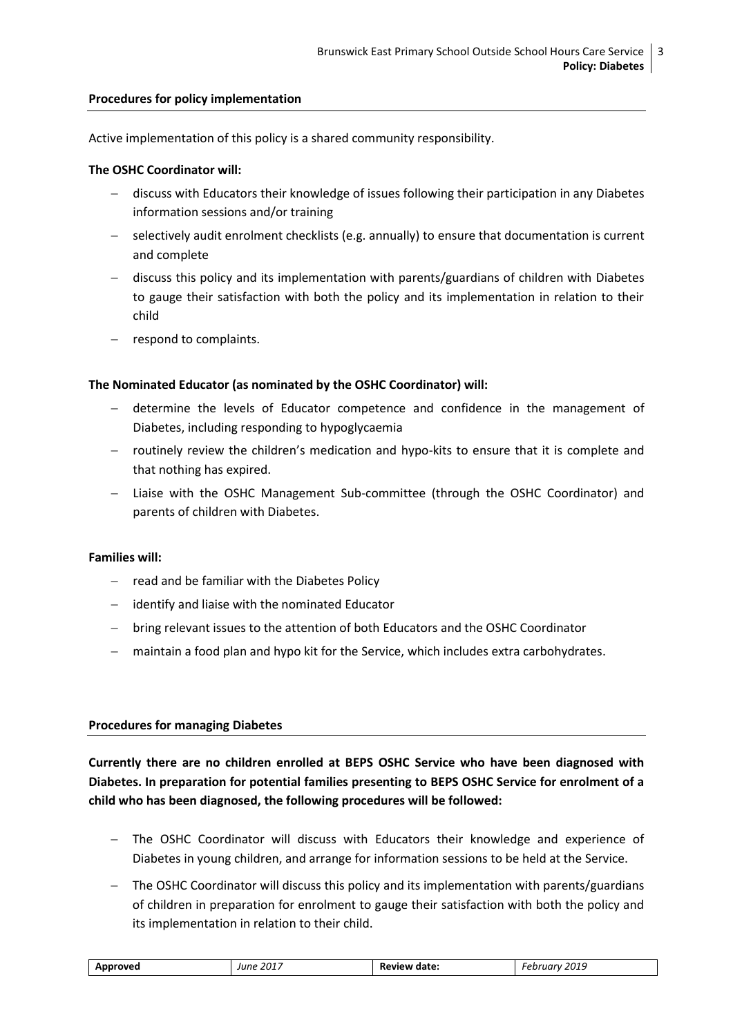#### **Procedures for policy implementation**

Active implementation of this policy is a shared community responsibility.

#### **The OSHC Coordinator will:**

- discuss with Educators their knowledge of issues following their participation in any Diabetes information sessions and/or training
- selectively audit enrolment checklists (e.g. annually) to ensure that documentation is current and complete
- $-$  discuss this policy and its implementation with parents/guardians of children with Diabetes to gauge their satisfaction with both the policy and its implementation in relation to their child
- respond to complaints.

#### **The Nominated Educator (as nominated by the OSHC Coordinator) will:**

- determine the levels of Educator competence and confidence in the management of Diabetes, including responding to hypoglycaemia
- routinely review the children's medication and hypo-kits to ensure that it is complete and that nothing has expired.
- Liaise with the OSHC Management Sub-committee (through the OSHC Coordinator) and parents of children with Diabetes.

#### **Families will:**

- $-$  read and be familiar with the Diabetes Policy
- $-$  identify and liaise with the nominated Educator
- bring relevant issues to the attention of both Educators and the OSHC Coordinator
- maintain a food plan and hypo kit for the Service, which includes extra carbohydrates.

#### **Procedures for managing Diabetes**

**Currently there are no children enrolled at BEPS OSHC Service who have been diagnosed with Diabetes. In preparation for potential families presenting to BEPS OSHC Service for enrolment of a child who has been diagnosed, the following procedures will be followed:** 

- The OSHC Coordinator will discuss with Educators their knowledge and experience of Diabetes in young children, and arrange for information sessions to be held at the Service.
- The OSHC Coordinator will discuss this policy and its implementation with parents/guardians of children in preparation for enrolment to gauge their satisfaction with both the policy and its implementation in relation to their child.

| February 2019<br>-2017<br>Approved<br>Review date:<br>June |  |
|------------------------------------------------------------|--|
|------------------------------------------------------------|--|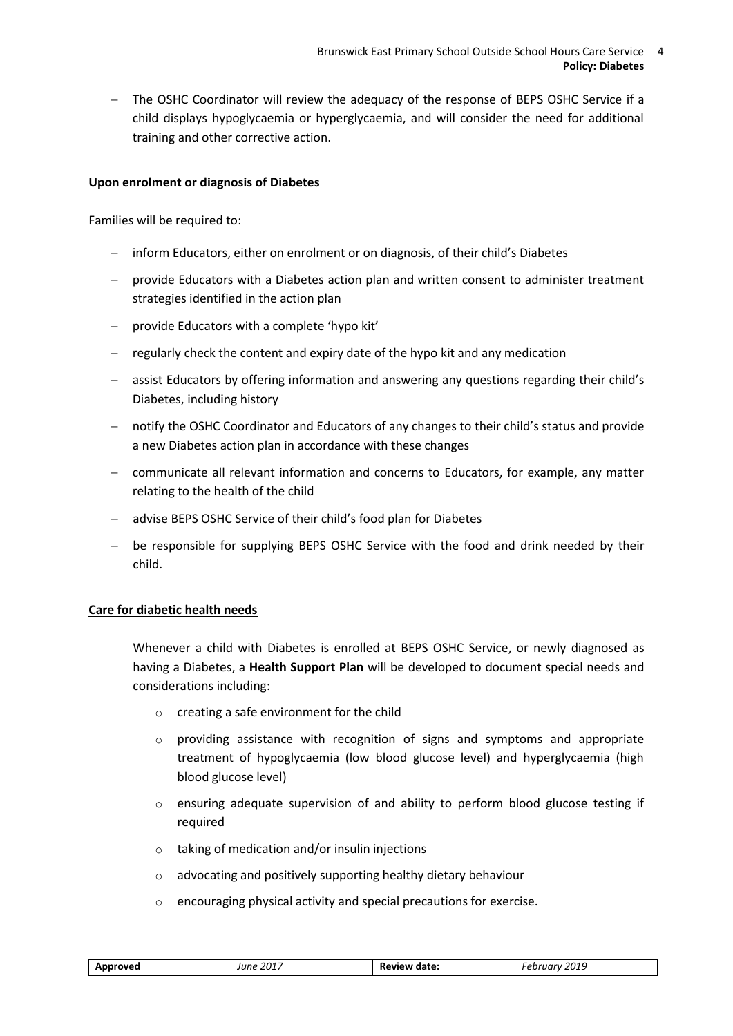The OSHC Coordinator will review the adequacy of the response of BEPS OSHC Service if a child displays hypoglycaemia or hyperglycaemia, and will consider the need for additional training and other corrective action.

#### **Upon enrolment or diagnosis of Diabetes**

Families will be required to:

- inform Educators, either on enrolment or on diagnosis, of their child's Diabetes
- provide Educators with a Diabetes action plan and written consent to administer treatment strategies identified in the action plan
- provide Educators with a complete 'hypo kit'
- $-$  regularly check the content and expiry date of the hypo kit and any medication
- assist Educators by offering information and answering any questions regarding their child's Diabetes, including history
- notify the OSHC Coordinator and Educators of any changes to their child's status and provide a new Diabetes action plan in accordance with these changes
- communicate all relevant information and concerns to Educators, for example, any matter relating to the health of the child
- advise BEPS OSHC Service of their child's food plan for Diabetes
- be responsible for supplying BEPS OSHC Service with the food and drink needed by their child.

#### **Care for diabetic health needs**

- Whenever a child with Diabetes is enrolled at BEPS OSHC Service, or newly diagnosed as having a Diabetes, a **Health Support Plan** will be developed to document special needs and considerations including:
	- o creating a safe environment for the child
	- $\circ$  providing assistance with recognition of signs and symptoms and appropriate treatment of hypoglycaemia (low blood glucose level) and hyperglycaemia (high blood glucose level)
	- $\circ$  ensuring adequate supervision of and ability to perform blood glucose testing if required
	- o taking of medication and/or insulin injections
	- o advocating and positively supporting healthy dietary behaviour
	- o encouraging physical activity and special precautions for exercise.

| Approved | June 2017 | <b>Review date:</b> | February 2019 |
|----------|-----------|---------------------|---------------|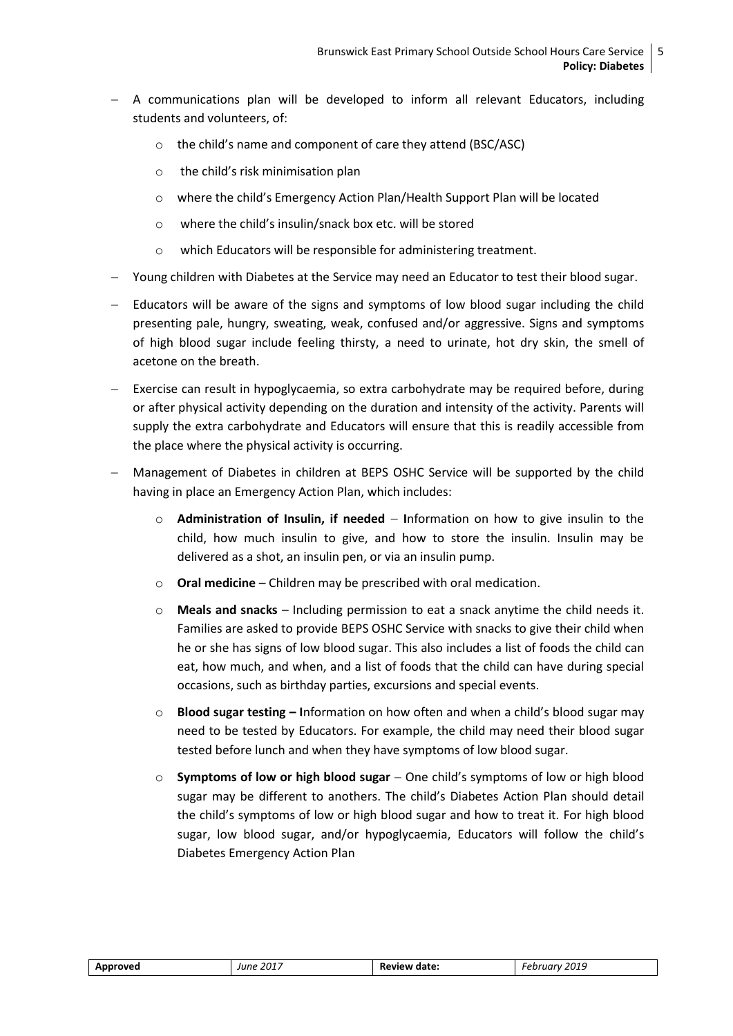- $-$  A communications plan will be developed to inform all relevant Educators, including students and volunteers, of:
	- o the child's name and component of care they attend (BSC/ASC)
	- o the child's risk minimisation plan
	- o where the child's Emergency Action Plan/Health Support Plan will be located
	- o where the child's insulin/snack box etc. will be stored
	- o which Educators will be responsible for administering treatment.
- Young children with Diabetes at the Service may need an Educator to test their blood sugar.
- Educators will be aware of the signs and symptoms of low blood sugar including the child presenting pale, hungry, sweating, weak, confused and/or aggressive. Signs and symptoms of high blood sugar include feeling thirsty, a need to urinate, hot dry skin, the smell of acetone on the breath.
- Exercise can result in hypoglycaemia, so extra carbohydrate may be required before, during or after physical activity depending on the duration and intensity of the activity. Parents will supply the extra carbohydrate and Educators will ensure that this is readily accessible from the place where the physical activity is occurring.
- Management of Diabetes in children at BEPS OSHC Service will be supported by the child having in place an Emergency Action Plan, which includes:
	- o **Administration of Insulin, if needed I**nformation on how to give insulin to the child, how much insulin to give, and how to store the insulin. Insulin may be delivered as a shot, an insulin pen, or via an insulin pump.
	- o **Oral medicine** Children may be prescribed with oral medication.
	- o **Meals and snacks** Including permission to eat a snack anytime the child needs it. Families are asked to provide BEPS OSHC Service with snacks to give their child when he or she has signs of low blood sugar. This also includes a list of foods the child can eat, how much, and when, and a list of foods that the child can have during special occasions, such as birthday parties, excursions and special events.
	- o **Blood sugar testing – I**nformation on how often and when a child's blood sugar may need to be tested by Educators. For example, the child may need their blood sugar tested before lunch and when they have symptoms of low blood sugar.
	- o **Symptoms of low or high blood sugar** One child's symptoms of low or high blood sugar may be different to anothers. The child's Diabetes Action Plan should detail the child's symptoms of low or high blood sugar and how to treat it. For high blood sugar, low blood sugar, and/or hypoglycaemia, Educators will follow the child's Diabetes Emergency Action Plan

| Approved | June 2017 | Review date: | February 2019 |
|----------|-----------|--------------|---------------|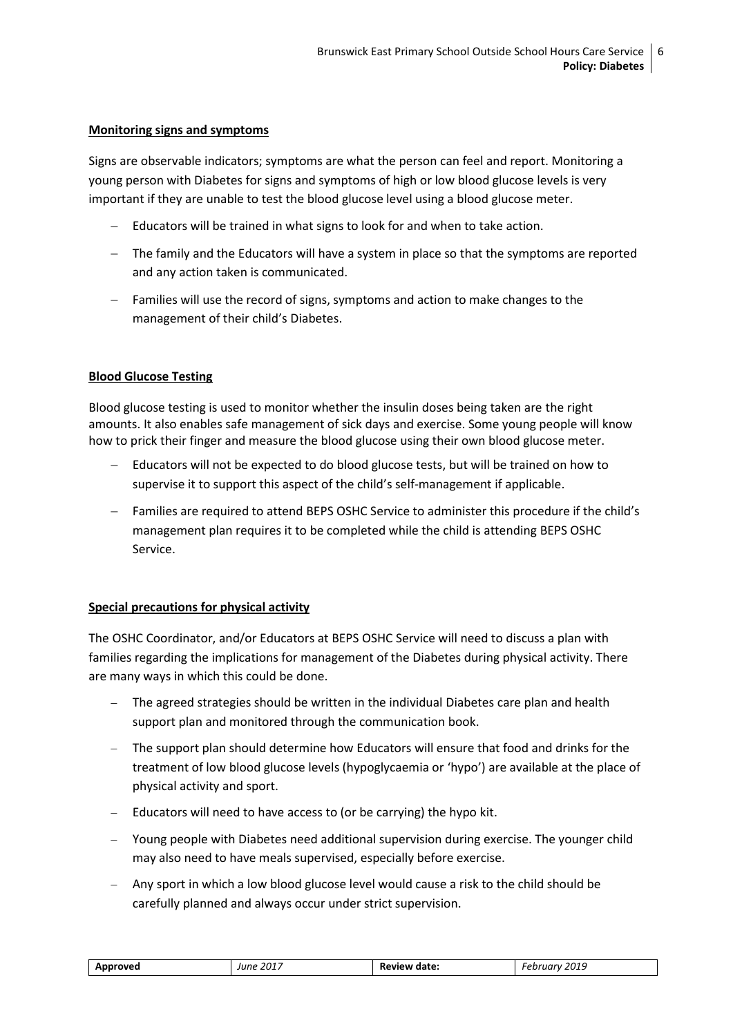#### **Monitoring signs and symptoms**

Signs are observable indicators; symptoms are what the person can feel and report. Monitoring a young person with Diabetes for signs and symptoms of high or low blood glucose levels is very important if they are unable to test the blood glucose level using a blood glucose meter.

- Educators will be trained in what signs to look for and when to take action.
- The family and the Educators will have a system in place so that the symptoms are reported and any action taken is communicated.
- Families will use the record of signs, symptoms and action to make changes to the management of their child's Diabetes.

#### **Blood Glucose Testing**

Blood glucose testing is used to monitor whether the insulin doses being taken are the right amounts. It also enables safe management of sick days and exercise. Some young people will know how to prick their finger and measure the blood glucose using their own blood glucose meter.

- Educators will not be expected to do blood glucose tests, but will be trained on how to supervise it to support this aspect of the child's self-management if applicable.
- Families are required to attend BEPS OSHC Service to administer this procedure if the child's management plan requires it to be completed while the child is attending BEPS OSHC Service.

#### **Special precautions for physical activity**

The OSHC Coordinator, and/or Educators at BEPS OSHC Service will need to discuss a plan with families regarding the implications for management of the Diabetes during physical activity. There are many ways in which this could be done.

- The agreed strategies should be written in the individual Diabetes care plan and health support plan and monitored through the communication book.
- The support plan should determine how Educators will ensure that food and drinks for the treatment of low blood glucose levels (hypoglycaemia or 'hypo') are available at the place of physical activity and sport.
- Educators will need to have access to (or be carrying) the hypo kit.
- Young people with Diabetes need additional supervision during exercise. The younger child may also need to have meals supervised, especially before exercise.
- Any sport in which a low blood glucose level would cause a risk to the child should be carefully planned and always occur under strict supervision.

| Approved | June 2017 | <b>Review date:</b> | February 2019 |
|----------|-----------|---------------------|---------------|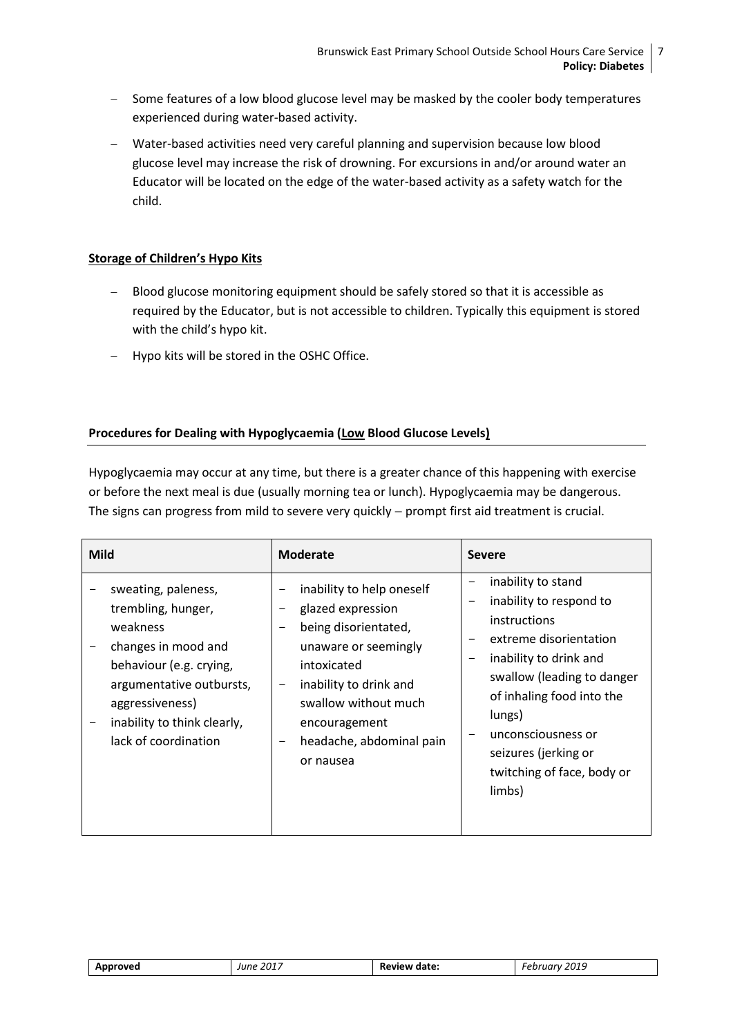- Some features of a low blood glucose level may be masked by the cooler body temperatures experienced during water-based activity.
- Water-based activities need very careful planning and supervision because low blood glucose level may increase the risk of drowning. For excursions in and/or around water an Educator will be located on the edge of the water-based activity as a safety watch for the child.

#### **Storage of Children's Hypo Kits**

- Blood glucose monitoring equipment should be safely stored so that it is accessible as required by the Educator, but is not accessible to children. Typically this equipment is stored with the child's hypo kit.
- Hypo kits will be stored in the OSHC Office.

#### **Procedures for Dealing with Hypoglycaemia (Low Blood Glucose Levels)**

Hypoglycaemia may occur at any time, but there is a greater chance of this happening with exercise or before the next meal is due (usually morning tea or lunch). Hypoglycaemia may be dangerous. The signs can progress from mild to severe very quickly  $-$  prompt first aid treatment is crucial.

| <b>Mild</b>                                                                                                                                                                                                   | <b>Moderate</b>                                                                                                                                                                                                                          | <b>Severe</b>                                                                                                                                                                                                                                                                       |
|---------------------------------------------------------------------------------------------------------------------------------------------------------------------------------------------------------------|------------------------------------------------------------------------------------------------------------------------------------------------------------------------------------------------------------------------------------------|-------------------------------------------------------------------------------------------------------------------------------------------------------------------------------------------------------------------------------------------------------------------------------------|
| sweating, paleness,<br>trembling, hunger,<br>weakness<br>changes in mood and<br>behaviour (e.g. crying,<br>argumentative outbursts,<br>aggressiveness)<br>inability to think clearly,<br>lack of coordination | inability to help oneself<br>glazed expression<br>-<br>being disorientated,<br>-<br>unaware or seemingly<br>intoxicated<br>inability to drink and<br>-<br>swallow without much<br>encouragement<br>headache, abdominal pain<br>or nausea | inability to stand<br>inability to respond to<br><i>instructions</i><br>extreme disorientation<br>inability to drink and<br>swallow (leading to danger<br>of inhaling food into the<br>lungs)<br>unconsciousness or<br>seizures (jerking or<br>twitching of face, body or<br>limbs) |

| Approved | June 2017 | Review date: | 2019<br><i>February</i> |
|----------|-----------|--------------|-------------------------|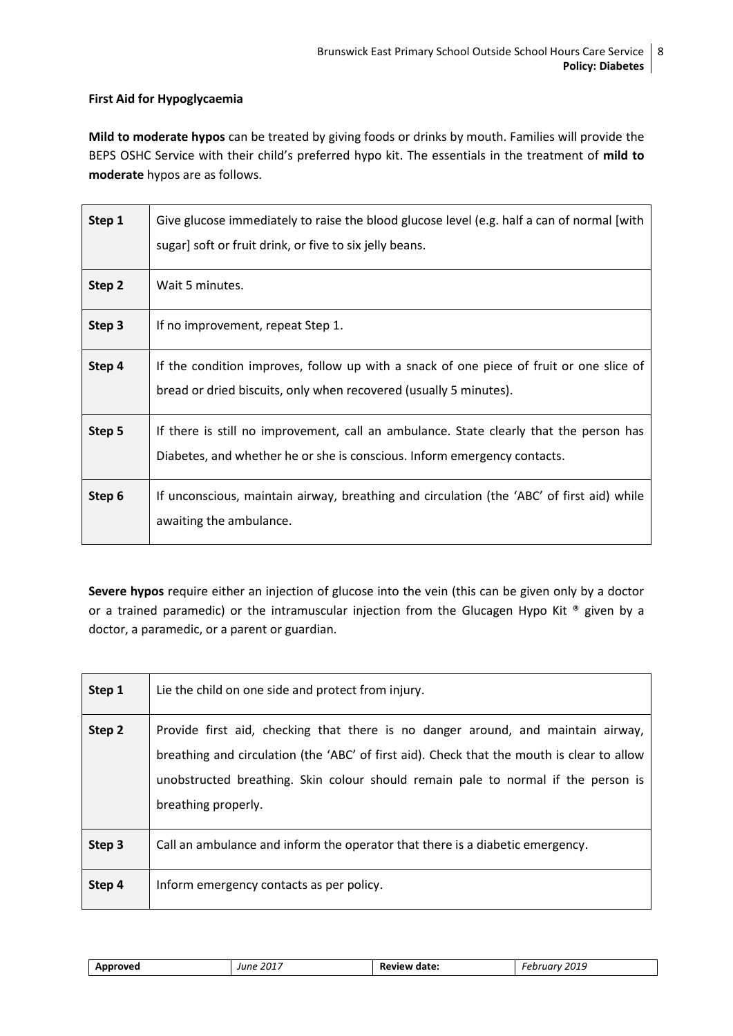#### **First Aid for Hypoglycaemia**

**Mild to moderate hypos** can be treated by giving foods or drinks by mouth. Families will provide the BEPS OSHC Service with their child's preferred hypo kit. The essentials in the treatment of **mild to moderate** hypos are as follows.

| Step 1            | Give glucose immediately to raise the blood glucose level (e.g. half a can of normal [with]<br>sugar] soft or fruit drink, or five to six jelly beans.             |
|-------------------|--------------------------------------------------------------------------------------------------------------------------------------------------------------------|
| Step <sub>2</sub> | Wait 5 minutes.                                                                                                                                                    |
| Step 3            | If no improvement, repeat Step 1.                                                                                                                                  |
| Step 4            | If the condition improves, follow up with a snack of one piece of fruit or one slice of<br>bread or dried biscuits, only when recovered (usually 5 minutes).       |
| Step 5            | If there is still no improvement, call an ambulance. State clearly that the person has<br>Diabetes, and whether he or she is conscious. Inform emergency contacts. |
| Step 6            | If unconscious, maintain airway, breathing and circulation (the 'ABC' of first aid) while<br>awaiting the ambulance.                                               |

**Severe hypos** require either an injection of glucose into the vein (this can be given only by a doctor or a trained paramedic) or the intramuscular injection from the Glucagen Hypo Kit ® given by a doctor, a paramedic, or a parent or guardian.

| Step 1 | Lie the child on one side and protect from injury.                                                                                                                                                                                                                                         |
|--------|--------------------------------------------------------------------------------------------------------------------------------------------------------------------------------------------------------------------------------------------------------------------------------------------|
| Step 2 | Provide first aid, checking that there is no danger around, and maintain airway,<br>breathing and circulation (the 'ABC' of first aid). Check that the mouth is clear to allow<br>unobstructed breathing. Skin colour should remain pale to normal if the person is<br>breathing properly. |
| Step 3 | Call an ambulance and inform the operator that there is a diabetic emergency.                                                                                                                                                                                                              |
| Step 4 | Inform emergency contacts as per policy.                                                                                                                                                                                                                                                   |

| Approved | . 2017<br>June | Review date: | 2019<br>February |
|----------|----------------|--------------|------------------|
|          |                |              |                  |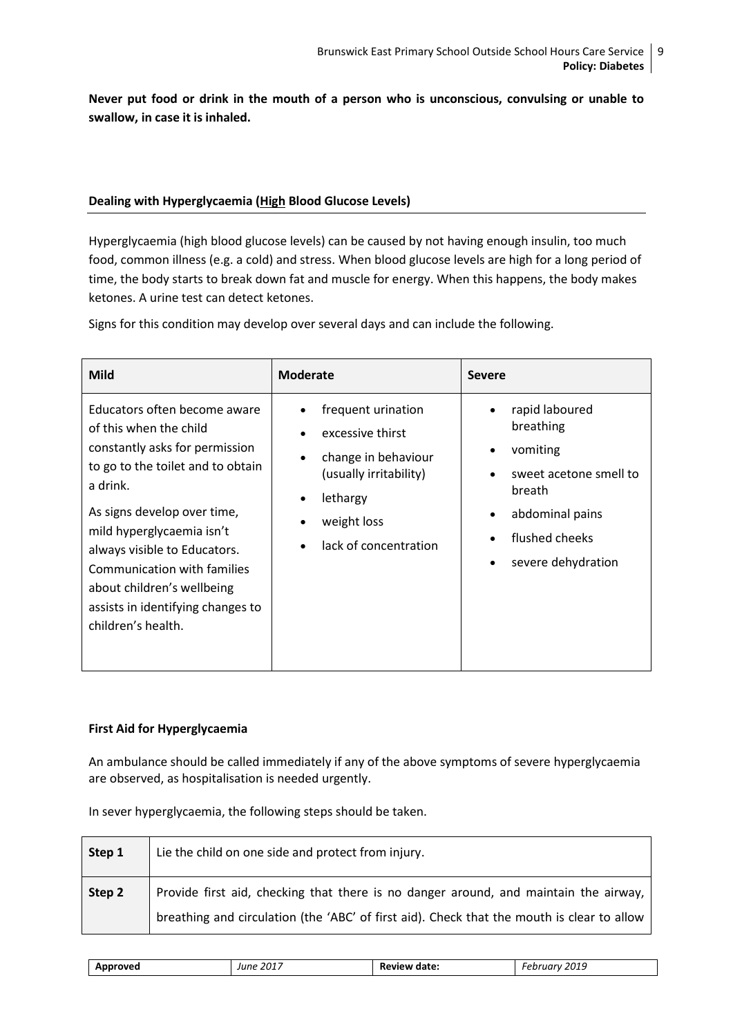**Never put food or drink in the mouth of a person who is unconscious, convulsing or unable to swallow, in case it is inhaled.** 

#### **Dealing with Hyperglycaemia (High Blood Glucose Levels)**

Hyperglycaemia (high blood glucose levels) can be caused by not having enough insulin, too much food, common illness (e.g. a cold) and stress. When blood glucose levels are high for a long period of time, the body starts to break down fat and muscle for energy. When this happens, the body makes ketones. A urine test can detect ketones.

Signs for this condition may develop over several days and can include the following.

| <b>Mild</b>                                                                                                                                                                                                                                                                                                                                                   | <b>Moderate</b>                                                                                                                                          | <b>Severe</b>                                                                                                                                                         |
|---------------------------------------------------------------------------------------------------------------------------------------------------------------------------------------------------------------------------------------------------------------------------------------------------------------------------------------------------------------|----------------------------------------------------------------------------------------------------------------------------------------------------------|-----------------------------------------------------------------------------------------------------------------------------------------------------------------------|
| Educators often become aware<br>of this when the child<br>constantly asks for permission<br>to go to the toilet and to obtain<br>a drink.<br>As signs develop over time,<br>mild hyperglycaemia isn't<br>always visible to Educators.<br>Communication with families<br>about children's wellbeing<br>assists in identifying changes to<br>children's health. | frequent urination<br>excessive thirst<br>change in behaviour<br>(usually irritability)<br>lethargy<br>weight loss<br>lack of concentration<br>$\bullet$ | rapid laboured<br>breathing<br>vomiting<br>٠<br>sweet acetone smell to<br>breath<br>abdominal pains<br>$\bullet$<br>flushed cheeks<br>severe dehydration<br>$\bullet$ |

#### **First Aid for Hyperglycaemia**

An ambulance should be called immediately if any of the above symptoms of severe hyperglycaemia are observed, as hospitalisation is needed urgently.

In sever hyperglycaemia, the following steps should be taken.

| Step 1 | Lie the child on one side and protect from injury.                                                                                                                                 |
|--------|------------------------------------------------------------------------------------------------------------------------------------------------------------------------------------|
| Step 2 | Provide first aid, checking that there is no danger around, and maintain the airway,<br>breathing and circulation (the 'ABC' of first aid). Check that the mouth is clear to allow |

| $ -$ | . | $\overline{\phantom{0}}$<br>____<br>_ _ _ _ |
|------|---|---------------------------------------------|
|------|---|---------------------------------------------|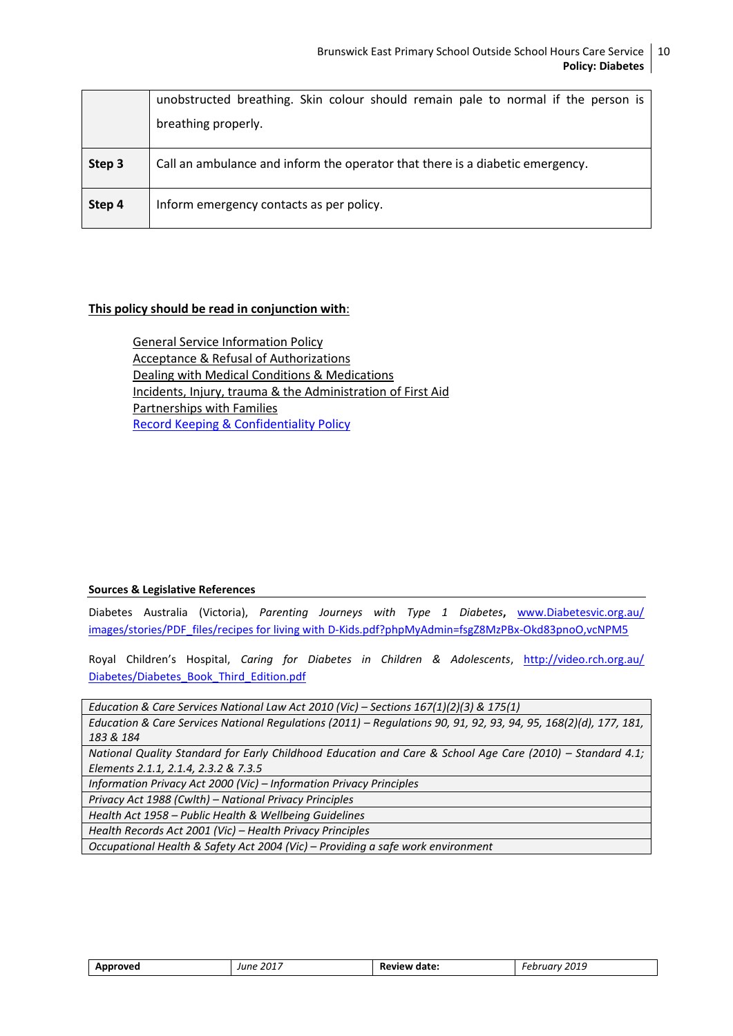|        | unobstructed breathing. Skin colour should remain pale to normal if the person is<br>breathing properly. |
|--------|----------------------------------------------------------------------------------------------------------|
| Step 3 | Call an ambulance and inform the operator that there is a diabetic emergency.                            |
| Step 4 | Inform emergency contacts as per policy.                                                                 |

#### **This policy should be read in conjunction with**:

General Service Information Policy Acceptance & Refusal of Authorizations Dealing with Medical Conditions & Medications Incidents, Injury, trauma & the Administration of First Aid Partnerships with Families [Record Keeping & Confidentiality Policy](file:///C:/Users/08478100/Desktop/2017%20OSHC%20Policies%20to%20be%20uploaded%20to%20website/Information%20for%20Families%202017/BEPS%20OSHC%20POLICY_Enrolment%20,%20Re-enrolment%20&%20Orientation%20of%20Children%20July%202017.docx%23_5.7_PRIVACY_POLICY)

#### **Sources & Legislative References**

Diabetes Australia (Victoria), *Parenting Journeys with Type 1 Diabetes***,** [www.Diabetesvic.org.au/](http://www.diabetesvic.org.au/images/stories/PDF_files/recipes%20for%20living%20with%20D-Kids.pdf?phpMyAdmin=fsgZ8MzPBx-Okd83pnoO,vcNPM5) [images/stories/PDF\\_files/recipes for living with D-Kids.pdf?phpMyAdmin=fsgZ8MzPBx-Okd83pnoO,vcNPM5](http://www.diabetesvic.org.au/images/stories/PDF_files/recipes%20for%20living%20with%20D-Kids.pdf?phpMyAdmin=fsgZ8MzPBx-Okd83pnoO,vcNPM5)

[Royal Children](http://www.rch.org.au/diabetesmanual/index.cfm?doc_id=2352)'s Hospital, *Caring for Diabetes in Children & Adolescents*, [http://video.rch.org.au/](http://video.rch.org.au/Diabetes/Diabetes_Book_Third_Edition.pdf) [Diabetes/Diabetes\\_Book\\_Third\\_Edition.pdf](http://video.rch.org.au/Diabetes/Diabetes_Book_Third_Edition.pdf)

*Education & Care Services National Law Act 2010 (Vic) – Sections 167(1)(2)(3) & 175(1)*

*Education & Care Services National Regulations (2011) – Regulations 90, 91, 92, 93, 94, 95, 168(2)(d), 177, 181, 183 & 184*

*National Quality Standard for Early Childhood Education and Care & School Age Care (2010) - Standard 4.1; Elements 2.1.1, 2.1.4, 2.3.2 & 7.3.5*

*Information Privacy Act 2000 (Vic) – Information Privacy Principles*

*Privacy Act 1988 (Cwlth) – National Privacy Principles*

*Health Act 1958 – Public Health & Wellbeing Guidelines*

*Health Records Act 2001 (Vic) – Health Privacy Principles*

*Occupational Health & Safety Act 2004 (Vic) – Providing a safe work environment*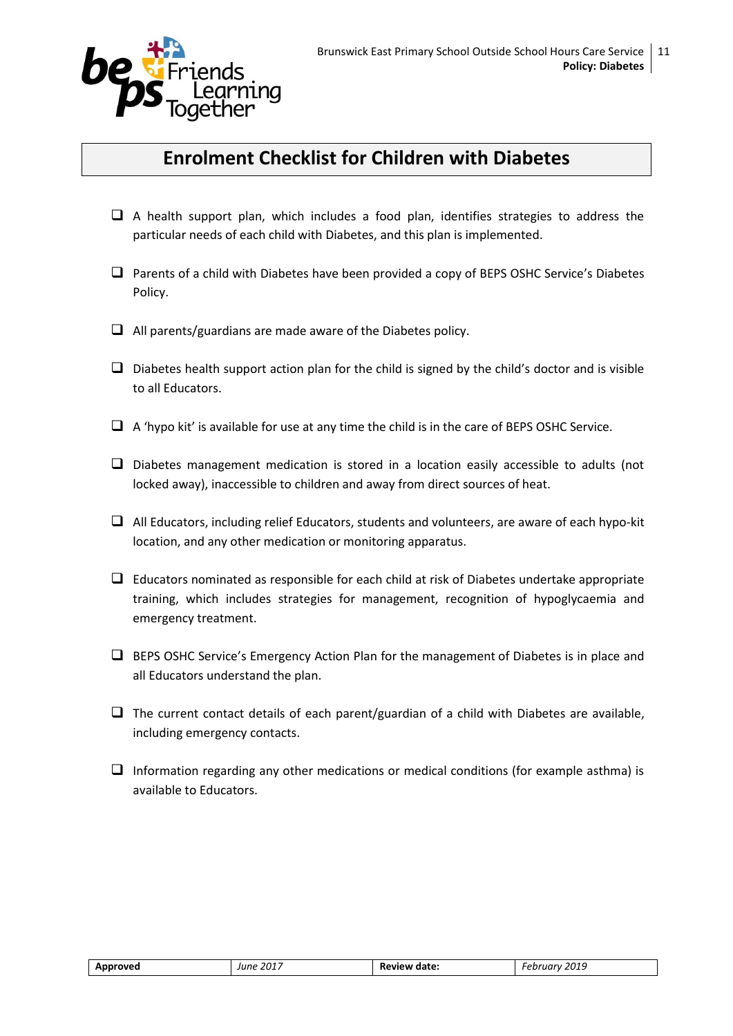

### **Enrolment Checklist for Children with Diabetes**

- $\Box$  A health support plan, which includes a food plan, identifies strategies to address the particular needs of each child with Diabetes, and this plan is implemented.
- $\Box$  Parents of a child with Diabetes have been provided a copy of BEPS OSHC Service's Diabetes Policy.
- $\Box$  All parents/guardians are made aware of the Diabetes policy.
- $\Box$  Diabetes health support action plan for the child is signed by the child's doctor and is visible to all Educators.
- $\Box$  A 'hypo kit' is available for use at any time the child is in the care of BEPS OSHC Service.
- $\square$  Diabetes management medication is stored in a location easily accessible to adults (not locked away), inaccessible to children and away from direct sources of heat.
- $\Box$  All Educators, including relief Educators, students and volunteers, are aware of each hypo-kit location, and any other medication or monitoring apparatus.
- $\Box$  Educators nominated as responsible for each child at risk of Diabetes undertake appropriate training, which includes strategies for management, recognition of hypoglycaemia and emergency treatment.
- $\Box$  BEPS OSHC Service's Emergency Action Plan for the management of Diabetes is in place and all Educators understand the plan.
- $\Box$  The current contact details of each parent/guardian of a child with Diabetes are available, including emergency contacts.
- $\Box$  Information regarding any other medications or medical conditions (for example asthma) is available to Educators.

| Approved | June 2017 | Review date: | 2019<br>epruarv<br>___ |
|----------|-----------|--------------|------------------------|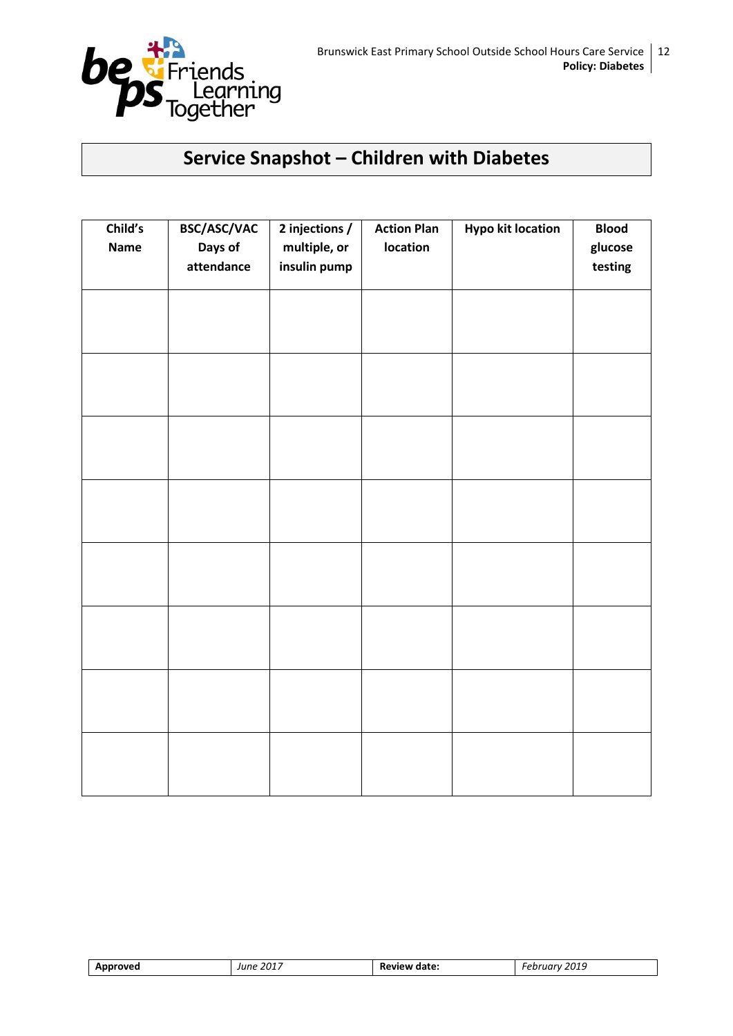

### **Service Snapshot – Children with Diabetes**

| Child's<br><b>Name</b> | BSC/ASC/VAC<br>Days of<br>attendance | 2 injections /<br>multiple, or<br>insulin pump | <b>Action Plan</b><br>location | <b>Hypo kit location</b> | <b>Blood</b><br>glucose<br>testing |
|------------------------|--------------------------------------|------------------------------------------------|--------------------------------|--------------------------|------------------------------------|
|                        |                                      |                                                |                                |                          |                                    |
|                        |                                      |                                                |                                |                          |                                    |
|                        |                                      |                                                |                                |                          |                                    |
|                        |                                      |                                                |                                |                          |                                    |
|                        |                                      |                                                |                                |                          |                                    |
|                        |                                      |                                                |                                |                          |                                    |
|                        |                                      |                                                |                                |                          |                                    |
|                        |                                      |                                                |                                |                          |                                    |

| rovea<br>Appr | . 201 <sup>-</sup><br>lune | date:<br>ρw<br>. | 2019<br>,,, |
|---------------|----------------------------|------------------|-------------|
|               |                            |                  |             |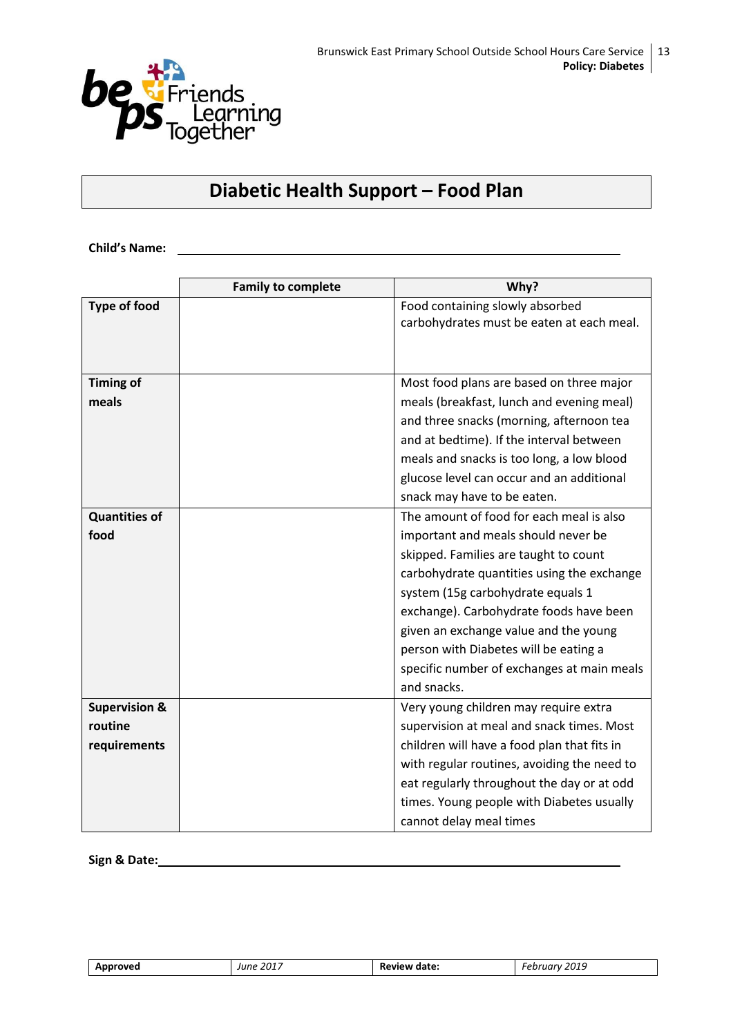

### **Diabetic Health Support – Food Plan**

**Child's Name:**

|                          | <b>Family to complete</b> | Why?                                        |
|--------------------------|---------------------------|---------------------------------------------|
| <b>Type of food</b>      |                           | Food containing slowly absorbed             |
|                          |                           | carbohydrates must be eaten at each meal.   |
|                          |                           |                                             |
|                          |                           |                                             |
| <b>Timing of</b>         |                           | Most food plans are based on three major    |
| meals                    |                           | meals (breakfast, lunch and evening meal)   |
|                          |                           | and three snacks (morning, afternoon tea    |
|                          |                           | and at bedtime). If the interval between    |
|                          |                           | meals and snacks is too long, a low blood   |
|                          |                           | glucose level can occur and an additional   |
|                          |                           | snack may have to be eaten.                 |
| <b>Quantities of</b>     |                           | The amount of food for each meal is also    |
| food                     |                           | important and meals should never be         |
|                          |                           | skipped. Families are taught to count       |
|                          |                           | carbohydrate quantities using the exchange  |
|                          |                           | system (15g carbohydrate equals 1           |
|                          |                           | exchange). Carbohydrate foods have been     |
|                          |                           | given an exchange value and the young       |
|                          |                           | person with Diabetes will be eating a       |
|                          |                           | specific number of exchanges at main meals  |
|                          |                           | and snacks.                                 |
| <b>Supervision &amp;</b> |                           | Very young children may require extra       |
| routine                  |                           | supervision at meal and snack times. Most   |
| requirements             |                           | children will have a food plan that fits in |
|                          |                           | with regular routines, avoiding the need to |
|                          |                           | eat regularly throughout the day or at odd  |
|                          |                           | times. Young people with Diabetes usually   |
|                          |                           | cannot delay meal times                     |

**Sign & Date:**

| Approved | June 2017<br>$\sim$ | Review date: | 2019<br>Februarv |
|----------|---------------------|--------------|------------------|
|----------|---------------------|--------------|------------------|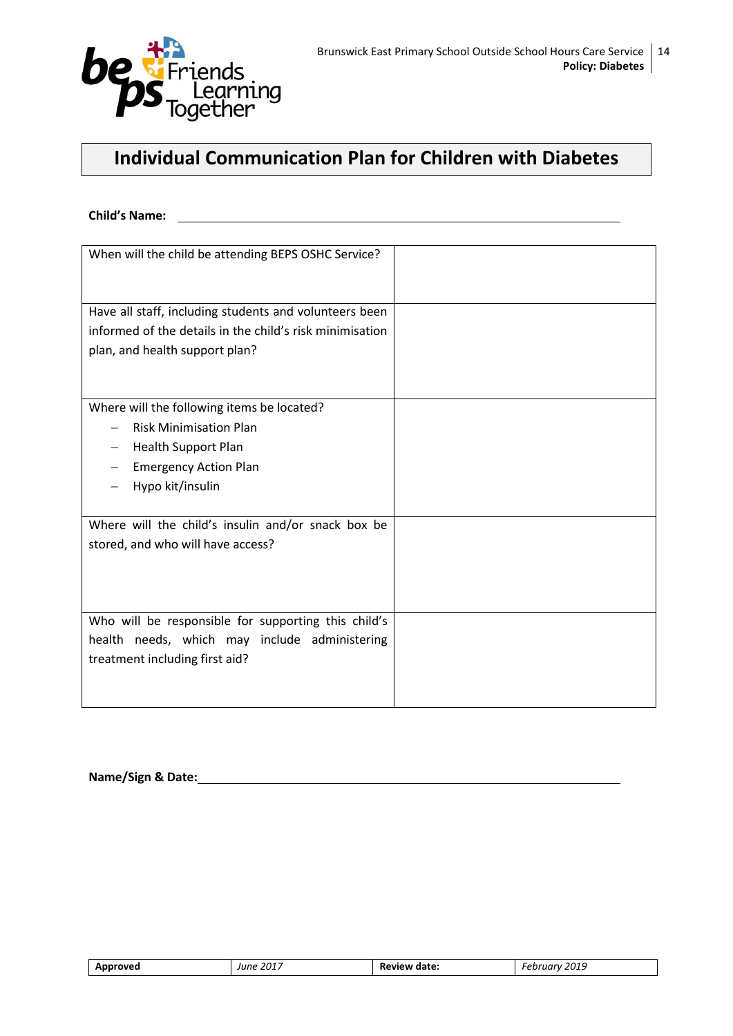

### **Individual Communication Plan for Children with Diabetes**

**Child's Name:**

| When will the child be attending BEPS OSHC Service?      |  |
|----------------------------------------------------------|--|
| Have all staff, including students and volunteers been   |  |
| informed of the details in the child's risk minimisation |  |
| plan, and health support plan?                           |  |
|                                                          |  |
| Where will the following items be located?               |  |
| <b>Risk Minimisation Plan</b>                            |  |
| <b>Health Support Plan</b>                               |  |
| <b>Emergency Action Plan</b>                             |  |
| Hypo kit/insulin                                         |  |
|                                                          |  |
| Where will the child's insulin and/or snack box be       |  |
| stored, and who will have access?                        |  |
|                                                          |  |
|                                                          |  |
|                                                          |  |
| Who will be responsible for supporting this child's      |  |
| health needs, which may include administering            |  |
| treatment including first aid?                           |  |
|                                                          |  |
|                                                          |  |
|                                                          |  |

**Name/Sign & Date:**

| roveo.<br>--- | 2017<br>lune | <b>D</b> -<br>date: | 2019<br>arv<br>$-0+0$ |
|---------------|--------------|---------------------|-----------------------|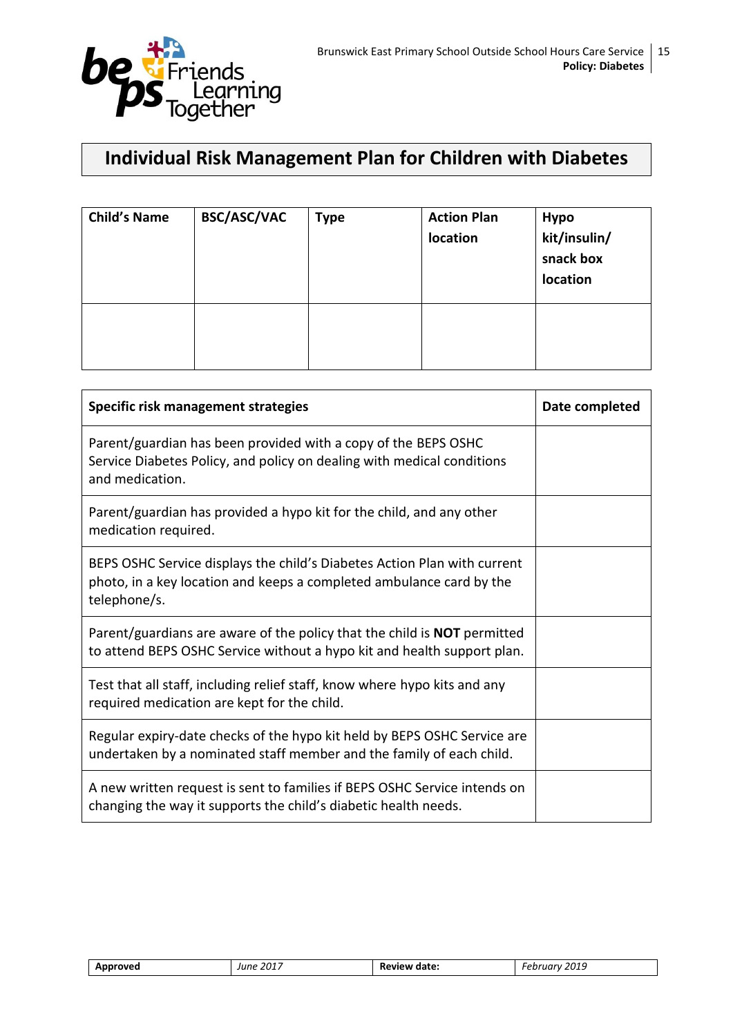

### **Individual Risk Management Plan for Children with Diabetes**

| <b>Child's Name</b> | <b>BSC/ASC/VAC</b> | <b>Type</b> | <b>Action Plan</b><br>location | <b>Hypo</b><br>kit/insulin/<br>snack box<br>location |
|---------------------|--------------------|-------------|--------------------------------|------------------------------------------------------|
|                     |                    |             |                                |                                                      |

| Specific risk management strategies                                                                                                                              | Date completed |
|------------------------------------------------------------------------------------------------------------------------------------------------------------------|----------------|
| Parent/guardian has been provided with a copy of the BEPS OSHC<br>Service Diabetes Policy, and policy on dealing with medical conditions<br>and medication.      |                |
| Parent/guardian has provided a hypo kit for the child, and any other<br>medication required.                                                                     |                |
| BEPS OSHC Service displays the child's Diabetes Action Plan with current<br>photo, in a key location and keeps a completed ambulance card by the<br>telephone/s. |                |
| Parent/guardians are aware of the policy that the child is <b>NOT</b> permitted<br>to attend BEPS OSHC Service without a hypo kit and health support plan.       |                |
| Test that all staff, including relief staff, know where hypo kits and any<br>required medication are kept for the child.                                         |                |
| Regular expiry-date checks of the hypo kit held by BEPS OSHC Service are<br>undertaken by a nominated staff member and the family of each child.                 |                |
| A new written request is sent to families if BEPS OSHC Service intends on<br>changing the way it supports the child's diabetic health needs.                     |                |

| 2019<br>.<br>Approved<br>date:<br>----<br>'une<br>oview -<br>77 V<br><b>ZU11</b><br>''<br>$\sim$<br>___<br>_____ |  |
|------------------------------------------------------------------------------------------------------------------|--|
|------------------------------------------------------------------------------------------------------------------|--|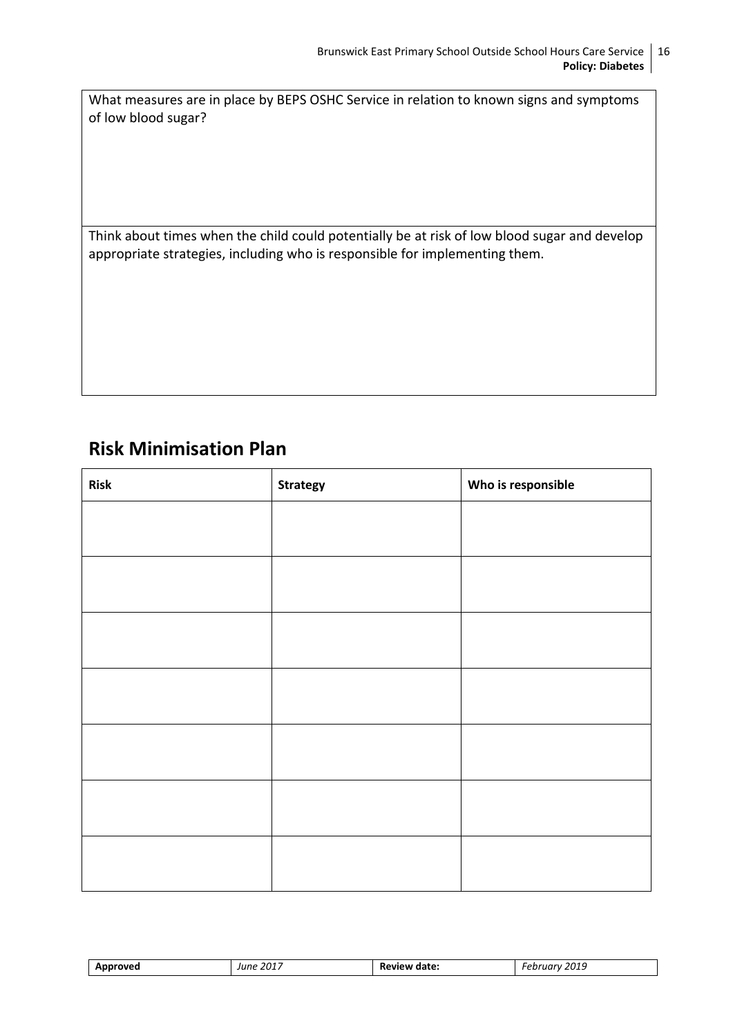What measures are in place by BEPS OSHC Service in relation to known signs and symptoms of low blood sugar?

Think about times when the child could potentially be at risk of low blood sugar and develop appropriate strategies, including who is responsible for implementing them.

### **Risk Minimisation Plan**

| <b>Risk</b> | <b>Strategy</b> | Who is responsible |
|-------------|-----------------|--------------------|
|             |                 |                    |
|             |                 |                    |
|             |                 |                    |
|             |                 |                    |
|             |                 |                    |
|             |                 |                    |
|             |                 |                    |
|             |                 |                    |
|             |                 |                    |
|             |                 |                    |
|             |                 |                    |
|             |                 |                    |
|             |                 |                    |
|             |                 |                    |

| nroved<br>Annr<br>$  -$ | : 2017<br>June | date:<br>∵eview .<br>.<br>_______ | 2019<br>.<br>7ary<br>וני<br>___ |
|-------------------------|----------------|-----------------------------------|---------------------------------|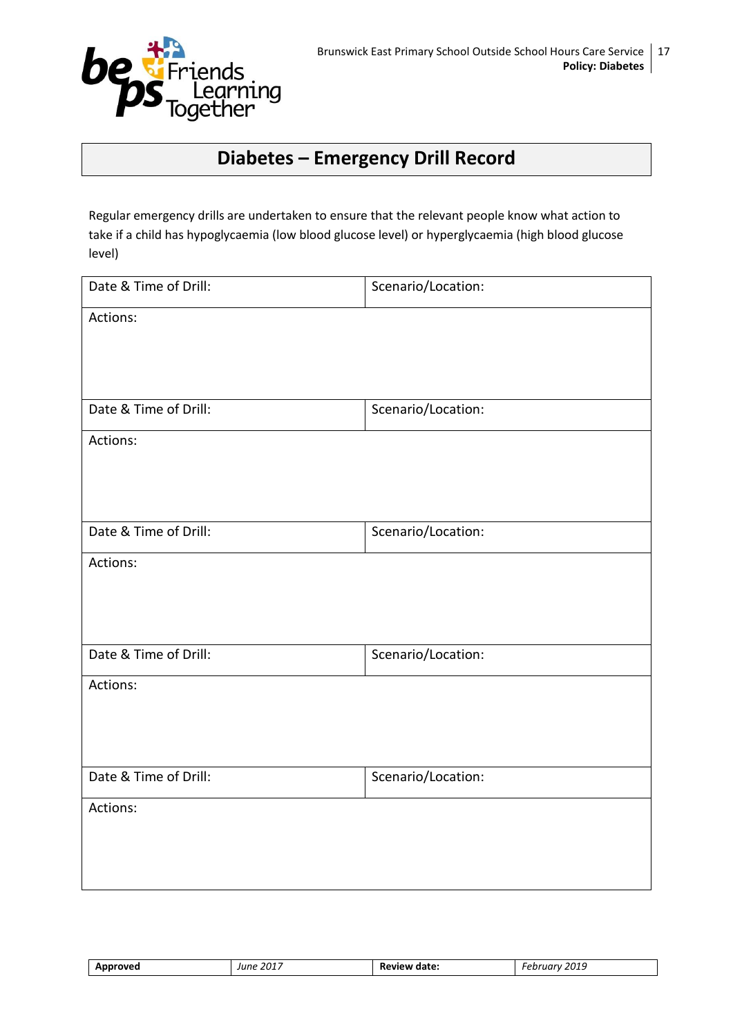

### **Diabetes – Emergency Drill Record**

Regular emergency drills are undertaken to ensure that the relevant people know what action to take if a child has hypoglycaemia (low blood glucose level) or hyperglycaemia (high blood glucose level)

| Date & Time of Drill: | Scenario/Location: |
|-----------------------|--------------------|
| Actions:              |                    |
|                       |                    |
|                       |                    |
| Date & Time of Drill: | Scenario/Location: |
| Actions:              |                    |
|                       |                    |
|                       |                    |
| Date & Time of Drill: | Scenario/Location: |
| Actions:              |                    |
|                       |                    |
|                       |                    |
| Date & Time of Drill: | Scenario/Location: |
| Actions:              |                    |
|                       |                    |
|                       |                    |
| Date & Time of Drill: | Scenario/Location: |
| Actions:              |                    |
|                       |                    |
|                       |                    |

| ıroved<br>--- | 2017<br>$I$ IINE | -<br>date:<br>ĸŧ<br>.<br>_______ | 2019<br>. .<br>.<br>71 I<br>___ |
|---------------|------------------|----------------------------------|---------------------------------|